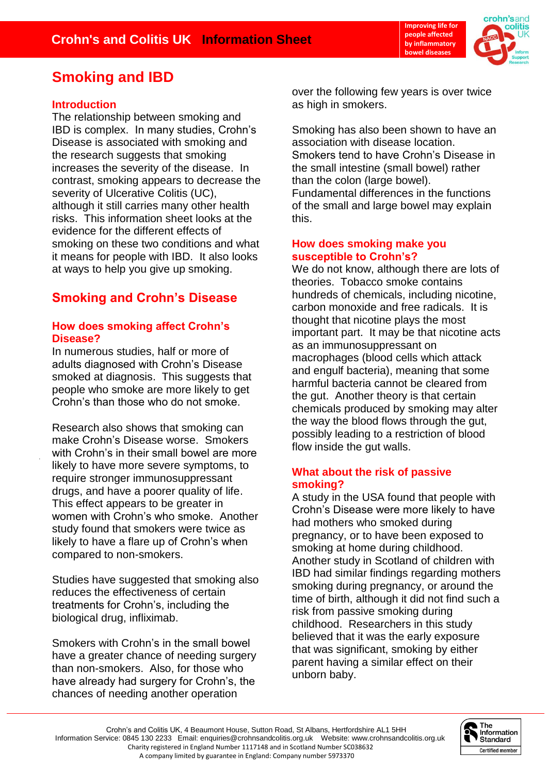

# **Smoking and IBD**

# **Introduction**

The relationship between smoking and IBD is complex. In many studies, Crohn's Disease is associated with smoking and the research suggests that smoking increases the severity of the disease. In contrast, smoking appears to decrease the severity of Ulcerative Colitis (UC), although it still carries many other health risks. This information sheet looks at the evidence for the different effects of smoking on these two conditions and what it means for people with IBD. It also looks at ways to help you give up smoking.

# **Smoking and Crohn's Disease**

# **How does smoking affect Crohn's Disease?**

In numerous studies, half or more of adults diagnosed with Crohn's Disease smoked at diagnosis. This suggests that people who smoke are more likely to get Crohn's than those who do not smoke.

Research also shows that smoking can make Crohn's Disease worse. Smokers with Crohn's in their small bowel are more likely to have more severe symptoms, to require stronger immunosuppressant drugs, and have a poorer quality of life. This effect appears to be greater in women with Crohn's who smoke. Another study found that smokers were twice as likely to have a flare up of Crohn's when compared to non-smokers.

Studies have suggested that smoking also reduces the effectiveness of certain treatments for Crohn's, including the biological drug, infliximab.

Smokers with Crohn's in the small bowel have a greater chance of needing surgery than non-smokers. Also, for those who have already had surgery for Crohn's, the chances of needing another operation

over the following few years is over twice as high in smokers.

Smoking has also been shown to have an association with disease location. Smokers tend to have Crohn's Disease in the small intestine (small bowel) rather than the colon (large bowel). Fundamental differences in the functions of the small and large bowel may explain this.

### **How does smoking make you susceptible to Crohn's?**

We do not know, although there are lots of theories. Tobacco smoke contains hundreds of chemicals, including nicotine, carbon monoxide and free radicals. It is thought that nicotine plays the most important part. It may be that nicotine acts as an immunosuppressant on macrophages (blood cells which attack and engulf bacteria), meaning that some harmful bacteria cannot be cleared from the gut. Another theory is that certain chemicals produced by smoking may alter the way the blood flows through the gut, possibly leading to a restriction of blood flow inside the gut walls.

# **What about the risk of passive smoking?**

A study in the USA found that people with Crohn's Disease were more likely to have had mothers who smoked during pregnancy, or to have been exposed to smoking at home during childhood. Another study in Scotland of children with IBD had similar findings regarding mothers smoking during pregnancy, or around the time of birth, although it did not find such a risk from passive smoking during childhood. Researchers in this study believed that it was the early exposure that was significant, smoking by either parent having a similar effect on their unborn baby.

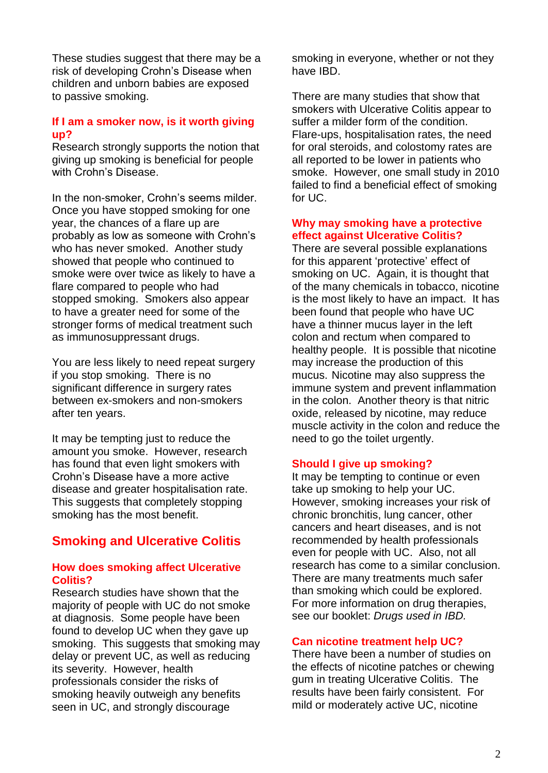These studies suggest that there may be a risk of developing Crohn's Disease when children and unborn babies are exposed to passive smoking.

### **If I am a smoker now, is it worth giving up?**

Research strongly supports the notion that giving up smoking is beneficial for people with Crohn's Disease.

In the non-smoker, Crohn's seems milder. Once you have stopped smoking for one year, the chances of a flare up are probably as low as someone with Crohn's who has never smoked. Another study showed that people who continued to smoke were over twice as likely to have a flare compared to people who had stopped smoking. Smokers also appear to have a greater need for some of the stronger forms of medical treatment such as immunosuppressant drugs.

You are less likely to need repeat surgery if you stop smoking. There is no significant difference in surgery rates between ex-smokers and non-smokers after ten years.

It may be tempting just to reduce the amount you smoke. However, research has found that even light smokers with Crohn's Disease have a more active disease and greater hospitalisation rate. This suggests that completely stopping smoking has the most benefit.

# **Smoking and Ulcerative Colitis**

## **How does smoking affect Ulcerative Colitis?**

Research studies have shown that the majority of people with UC do not smoke at diagnosis. Some people have been found to develop UC when they gave up smoking. This suggests that smoking may delay or prevent UC, as well as reducing its severity. However, health professionals consider the risks of smoking heavily outweigh any benefits seen in UC, and strongly discourage

smoking in everyone, whether or not they have IBD.

There are many studies that show that smokers with Ulcerative Colitis appear to suffer a milder form of the condition. Flare-ups, hospitalisation rates, the need for oral steroids, and colostomy rates are all reported to be lower in patients who smoke. However, one small study in 2010 failed to find a beneficial effect of smoking for UC.

#### **Why may smoking have a protective effect against Ulcerative Colitis?**

There are several possible explanations for this apparent 'protective' effect of smoking on UC. Again, it is thought that of the many chemicals in tobacco, nicotine is the most likely to have an impact. It has been found that people who have UC have a thinner mucus layer in the left colon and rectum when compared to healthy people. It is possible that nicotine may increase the production of this mucus. Nicotine may also suppress the immune system and prevent inflammation in the colon. Another theory is that nitric oxide, released by nicotine, may reduce muscle activity in the colon and reduce the need to go the toilet urgently.

## **Should I give up smoking?**

It may be tempting to continue or even take up smoking to help your UC. However, smoking increases your risk of chronic bronchitis, lung cancer, other cancers and heart diseases, and is not recommended by health professionals even for people with UC. Also, not all research has come to a similar conclusion. There are many treatments much safer than smoking which could be explored. For more information on drug therapies, see our booklet: *Drugs used in IBD.*

## **Can nicotine treatment help UC?**

There have been a number of studies on the effects of nicotine patches or chewing gum in treating Ulcerative Colitis. The results have been fairly consistent. For mild or moderately active UC, nicotine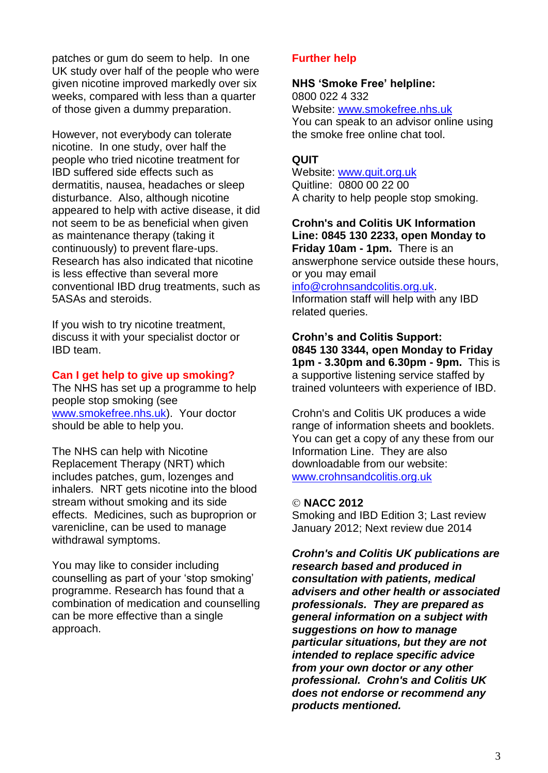patches or gum do seem to help. In one UK study over half of the people who were given nicotine improved markedly over six weeks, compared with less than a quarter of those given a dummy preparation.

However, not everybody can tolerate nicotine. In one study, over half the people who tried nicotine treatment for IBD suffered side effects such as dermatitis, nausea, headaches or sleep disturbance. Also, although nicotine appeared to help with active disease, it did not seem to be as beneficial when given as maintenance therapy (taking it continuously) to prevent flare-ups. Research has also indicated that nicotine is less effective than several more conventional IBD drug treatments, such as 5ASAs and steroids.

If you wish to try nicotine treatment, discuss it with your specialist doctor or IBD team.

#### **Can I get help to give up smoking?**

The NHS has set up a programme to help people stop smoking (see [www.smokefree.nhs.uk\)](http://www.smokefree.nhs.uk/). Your doctor should be able to help you.

The NHS can help with Nicotine Replacement Therapy (NRT) which includes patches, gum, lozenges and inhalers. NRT gets nicotine into the blood stream without smoking and its side effects. Medicines, such as buproprion or varenicline, can be used to manage withdrawal symptoms.

You may like to consider including counselling as part of your 'stop smoking' programme. Research has found that a combination of medication and counselling can be more effective than a single approach.

### **Further help**

#### **NHS 'Smoke Free' helpline:**

0800 022 4 332 Website: [www.smokefree.nhs.uk](http://www.smokefree.nhs.uk/) You can speak to an advisor online using the smoke free online chat tool.

#### **QUIT**

Website: [www.quit.org.uk](http://www.quit.org.uk/) Quitline: 0800 00 22 00 A charity to help people stop smoking.

**Crohn's and Colitis UK Information Line: 0845 130 2233, open Monday to Friday 10am - 1pm.** There is an answerphone service outside these hours, or you may email

#### [info@crohnsandcolitis.org.uk.](mailto:info@crohnsandcolitis.org.uk)

Information staff will help with any IBD related queries.

**Crohn's and Colitis Support: 0845 130 3344, open Monday to Friday 1pm - 3.30pm and 6.30pm - 9pm.** This is a supportive listening service staffed by trained volunteers with experience of IBD.

Crohn's and Colitis UK produces a wide range of information sheets and booklets. You can get a copy of any these from our Information Line. They are also downloadable from our website: [www.crohnsandcolitis.org.uk](http://www.crohnsandcolitis.org.uk/)

#### **NACC 2012**

Smoking and IBD Edition 3; Last review January 2012; Next review due 2014

*Crohn's and Colitis UK publications are research based and produced in consultation with patients, medical advisers and other health or associated professionals. They are prepared as general information on a subject with suggestions on how to manage particular situations, but they are not intended to replace specific advice from your own doctor or any other professional. Crohn's and Colitis UK does not endorse or recommend any products mentioned.*